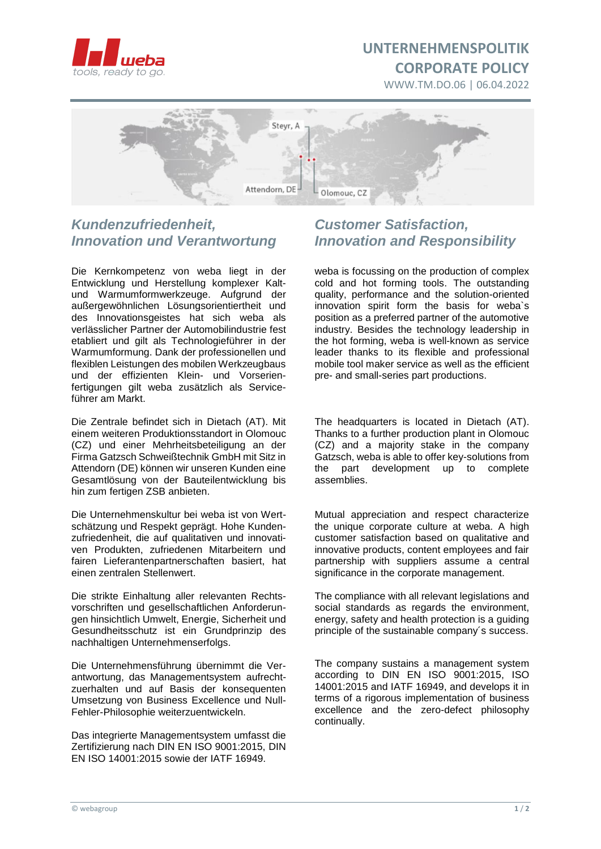

# **UNTERNEHMENSPOLITIK CORPORATE POLICY**

WWW.TM.DO.06 | 06.04.2022



## *Kundenzufriedenheit, Innovation und Verantwortung*

Die Kernkompetenz von weba liegt in der Entwicklung und Herstellung komplexer Kaltund Warmumformwerkzeuge. Aufgrund der außergewöhnlichen Lösungsorientiertheit und des Innovationsgeistes hat sich weba als verlässlicher Partner der Automobilindustrie fest etabliert und gilt als Technologieführer in der Warmumformung. Dank der professionellen und flexiblen Leistungen des mobilen Werkzeugbaus und der effizienten Klein- und Vorserienfertigungen gilt weba zusätzlich als Serviceführer am Markt.

Die Zentrale befindet sich in Dietach (AT). Mit einem weiteren Produktionsstandort in Olomouc (CZ) und einer Mehrheitsbeteiligung an der Firma Gatzsch Schweißtechnik GmbH mit Sitz in Attendorn (DE) können wir unseren Kunden eine Gesamtlösung von der Bauteilentwicklung bis hin zum fertigen ZSB anbieten.

Die Unternehmenskultur bei weba ist von Wertschätzung und Respekt geprägt. Hohe Kundenzufriedenheit, die auf qualitativen und innovativen Produkten, zufriedenen Mitarbeitern und fairen Lieferantenpartnerschaften basiert, hat einen zentralen Stellenwert.

Die strikte Einhaltung aller relevanten Rechtsvorschriften und gesellschaftlichen Anforderungen hinsichtlich Umwelt, Energie, Sicherheit und Gesundheitsschutz ist ein Grundprinzip des nachhaltigen Unternehmenserfolgs.

Die Unternehmensführung übernimmt die Verantwortung, das Managementsystem aufrechtzuerhalten und auf Basis der konsequenten Umsetzung von Business Excellence und Null-Fehler-Philosophie weiterzuentwickeln.

Das integrierte Managementsystem umfasst die Zertifizierung nach DIN EN ISO 9001:2015, DIN EN ISO 14001:2015 sowie der IATF 16949.

## *Customer Satisfaction, Innovation and Responsibility*

weba is focussing on the production of complex cold and hot forming tools. The outstanding quality, performance and the solution-oriented innovation spirit form the basis for weba`s position as a preferred partner of the automotive industry. Besides the technology leadership in the hot forming, weba is well-known as service leader thanks to its flexible and professional mobile tool maker service as well as the efficient pre- and small-series part productions.

The headquarters is located in Dietach (AT). Thanks to a further production plant in Olomouc (CZ) and a majority stake in the company Gatzsch, weba is able to offer key-solutions from the part development up to complete assemblies.

Mutual appreciation and respect characterize the unique corporate culture at weba. A high customer satisfaction based on qualitative and innovative products, content employees and fair partnership with suppliers assume a central significance in the corporate management.

The compliance with all relevant legislations and social standards as regards the environment, energy, safety and health protection is a guiding principle of the sustainable company´s success.

The company sustains a management system according to DIN EN ISO 9001:2015, ISO 14001:2015 and IATF 16949, and develops it in terms of a rigorous implementation of business excellence and the zero-defect philosophy continually.